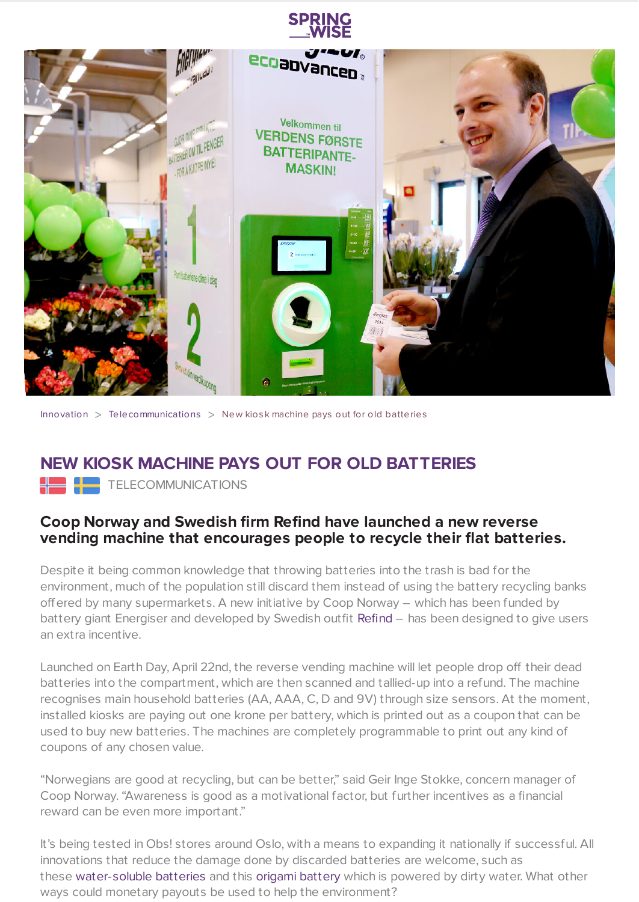

[Innovation](https://www.springwise.com/search?type=innovation)  $>$  [Telecommunications](https://www.springwise.com/search?type=innovation§or=telecoms-tech)  $>$  New kiosk machine pays out for old batteries

## **NEW KIOSK MACHINE PAYS OUT FOR OLD BATTERIES**

**TELECOMMUNICATIONS** 

## **Coop Norway and Swedish firm Refind have launched a new reverse vending machine that encourages people to recycle their flat batteries.**

Despite it being common knowledge that throwing batteries into the trash is bad for the environment, much of the population still discard them instead of using the battery recycling banks offered by many supermarkets. A new initiative by Coop Norway – which has been funded by battery giant Energiser and developed by Swedish outfit [Refind](http://www.refind.se/reverse-vending-machine-batteries) – has been designed to give users an extra incentive.

Launched on Earth Day, April 22nd, the reverse vending machine will let people drop off their dead batteries into the compartment, which are then scanned and tallied-up into a refund. The machine recognises main household batteries (AA, AAA, C, D and 9V) through size sensors. At the moment, installed kiosks are paying out one krone per battery, which is printed out as a coupon that can be used to buy new batteries. The machines are completely programmable to print out any kind of coupons of any chosen value.

"Norwegians are good at recycling, but can be better," said Geir Inge Stokke, concern manager of Coop Norway. "Awareness is good as a motivational factor, but further incentives as a financial reward can be even more important."

It's being tested in Obs! stores around Oslo, with a means to expanding it nationally if successful. All innovations that reduce the damage done by discarded batteries are welcome, such as these [water-soluble](https://www.springwise.com/batteries-dissolve-water/) batteries and this origami [battery](https://www.springwise.com/origami-biobattery-power-dirty-water/) which is powered by dirty water. What other ways could monetary payouts be used to help the environment?